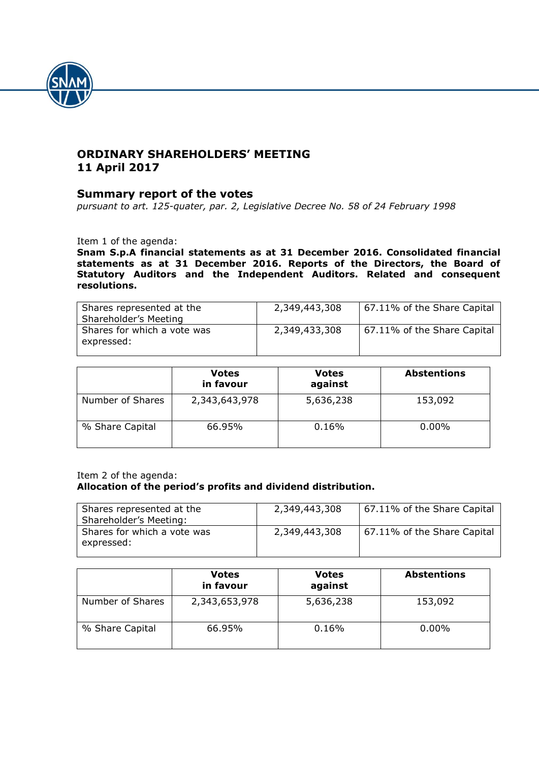

# **ORDINARY SHAREHOLDERS' MEETING 11 April 2017**

## **Summary report of the votes**

*pursuant to art. 125-quater, par. 2, Legislative Decree No. 58 of 24 February 1998*

Item 1 of the agenda:

**Snam S.p.A financial statements as at 31 December 2016. Consolidated financial statements as at 31 December 2016. Reports of the Directors, the Board of Statutory Auditors and the Independent Auditors. Related and consequent resolutions.**

| Shares represented at the<br>Shareholder's Meeting | 2,349,443,308 | 57.11% of the Share Capital |
|----------------------------------------------------|---------------|-----------------------------|
| Shares for which a vote was<br>expressed:          | 2,349,433,308 | 57.11% of the Share Capital |

|                  | <b>Votes</b><br>in favour | <b>Votes</b><br>against | <b>Abstentions</b> |
|------------------|---------------------------|-------------------------|--------------------|
| Number of Shares | 2,343,643,978             | 5,636,238               | 153,092            |
| % Share Capital  | 66.95%                    | 0.16%                   | $0.00\%$           |

### Item 2 of the agenda: **Allocation of the period's profits and dividend distribution.**

| Shares represented at the<br>Shareholder's Meeting: | 2,349,443,308 | 67.11% of the Share Capital |
|-----------------------------------------------------|---------------|-----------------------------|
| Shares for which a vote was<br>expressed:           | 2,349,443,308 | 67.11% of the Share Capital |

|                  | <b>Votes</b><br>in favour | <b>Votes</b><br>against | <b>Abstentions</b> |
|------------------|---------------------------|-------------------------|--------------------|
| Number of Shares | 2,343,653,978             | 5,636,238               | 153,092            |
| % Share Capital  | 66.95%                    | 0.16%                   | $0.00\%$           |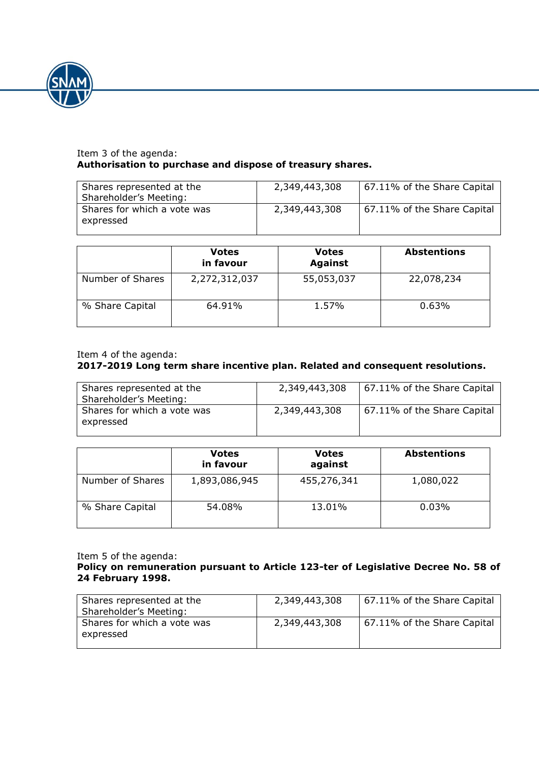

### Item 3 of the agenda: **Authorisation to purchase and dispose of treasury shares.**

| Shares represented at the<br>Shareholder's Meeting: | 2,349,443,308 | 67.11% of the Share Capital |
|-----------------------------------------------------|---------------|-----------------------------|
| Shares for which a vote was<br>expressed            | 2,349,443,308 | 67.11% of the Share Capital |

|                  | <b>Votes</b><br>in favour | <b>Votes</b><br><b>Against</b> | <b>Abstentions</b> |
|------------------|---------------------------|--------------------------------|--------------------|
| Number of Shares | 2,272,312,037             | 55,053,037                     | 22,078,234         |
| % Share Capital  | 64.91%                    | 1.57%                          | 0.63%              |

### Item 4 of the agenda:

### **2017-2019 Long term share incentive plan. Related and consequent resolutions.**

| Shares represented at the<br>Shareholder's Meeting: | 2,349,443,308 | 67.11% of the Share Capital |
|-----------------------------------------------------|---------------|-----------------------------|
| Shares for which a vote was<br>expressed            | 2,349,443,308 | 57.11% of the Share Capital |

|                  | <b>Votes</b><br>in favour | <b>Votes</b><br>against | <b>Abstentions</b> |
|------------------|---------------------------|-------------------------|--------------------|
| Number of Shares | 1,893,086,945             | 455,276,341             | 1,080,022          |
| % Share Capital  | 54.08%                    | 13.01%                  | 0.03%              |

#### Item 5 of the agenda:

### **Policy on remuneration pursuant to Article 123-ter of Legislative Decree No. 58 of 24 February 1998.**

| Shares represented at the<br>Shareholder's Meeting: | 2,349,443,308 | 67.11% of the Share Capital |
|-----------------------------------------------------|---------------|-----------------------------|
| Shares for which a vote was<br>expressed            | 2,349,443,308 | 67.11% of the Share Capital |